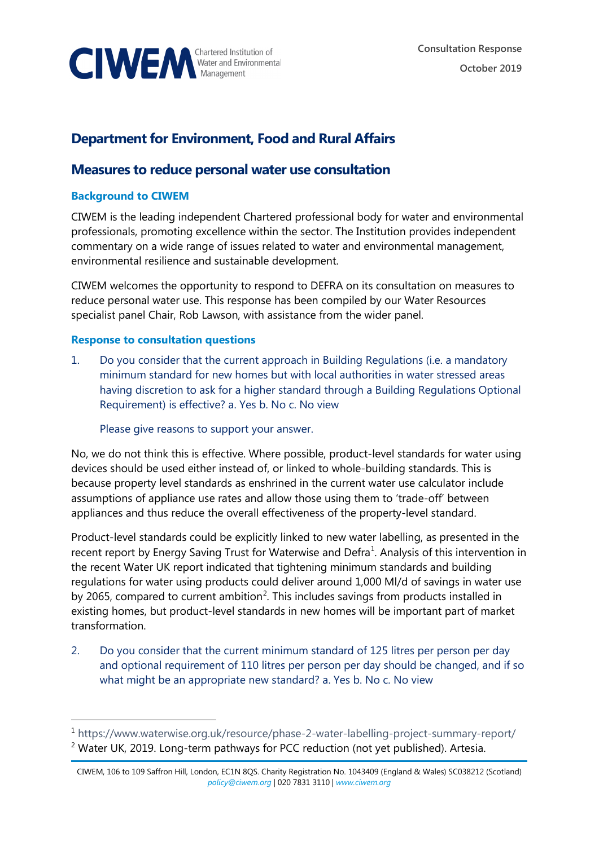

# **Department for Environment, Food and Rural Affairs**

# **Measures to reduce personal water use consultation**

# **Background to CIWEM**

CIWEM is the leading independent Chartered professional body for water and environmental professionals, promoting excellence within the sector. The Institution provides independent commentary on a wide range of issues related to water and environmental management, environmental resilience and sustainable development.

CIWEM welcomes the opportunity to respond to DEFRA on its consultation on measures to reduce personal water use. This response has been compiled by our Water Resources specialist panel Chair, Rob Lawson, with assistance from the wider panel.

# **Response to consultation questions**

1. Do you consider that the current approach in Building Regulations (i.e. a mandatory minimum standard for new homes but with local authorities in water stressed areas having discretion to ask for a higher standard through a Building Regulations Optional Requirement) is effective? a. Yes b. No c. No view

Please give reasons to support your answer.

No, we do not think this is effective. Where possible, product-level standards for water using devices should be used either instead of, or linked to whole-building standards. This is because property level standards as enshrined in the current water use calculator include assumptions of appliance use rates and allow those using them to 'trade-off' between appliances and thus reduce the overall effectiveness of the property-level standard.

Product-level standards could be explicitly linked to new water labelling, as presented in the recent report by Energy Saving Trust for Waterwise and Defra<sup>[1](#page-0-0)</sup>. Analysis of this intervention in the recent Water UK report indicated that tightening minimum standards and building regulations for water using products could deliver around 1,000 Ml/d of savings in water use by [2](#page-0-1)065, compared to current ambition<sup>2</sup>. This includes savings from products installed in existing homes, but product-level standards in new homes will be important part of market transformation.

2. Do you consider that the current minimum standard of 125 litres per person per day and optional requirement of 110 litres per person per day should be changed, and if so what might be an appropriate new standard? a. Yes b. No c. No view

<span id="page-0-0"></span><sup>1</sup> <https://www.waterwise.org.uk/resource/phase-2-water-labelling-project-summary-report/>

<span id="page-0-1"></span> $2$  Water UK, 2019. Long-term pathways for PCC reduction (not yet published). Artesia.

CIWEM, 106 to 109 Saffron Hill, London, EC1N 8QS. Charity Registration No. 1043409 (England & Wales) SC038212 (Scotland) *[policy@ciwem.org](mailto:policy@ciwem.org)* | 020 7831 3110 | *[www.ciwem.org](http://www.ciwem.org/)*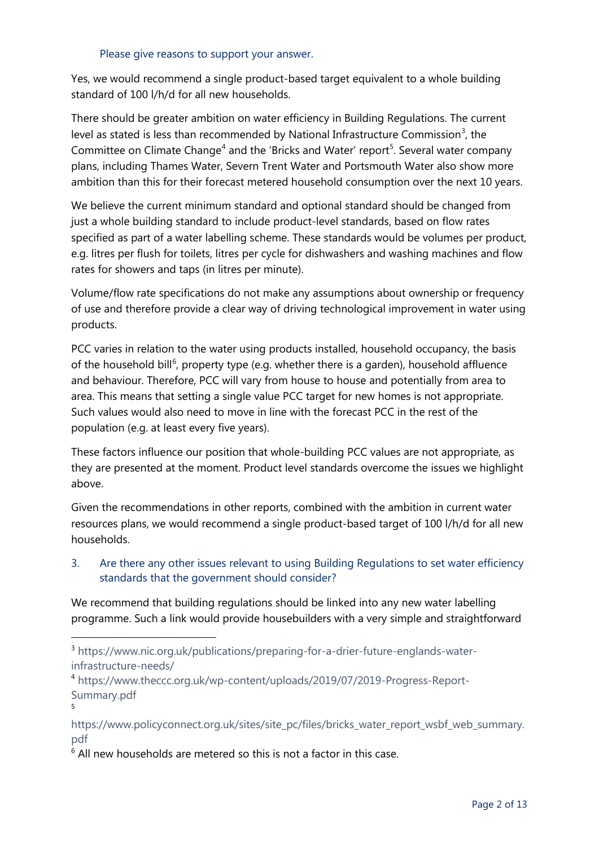#### Please give reasons to support your answer.

Yes, we would recommend a single product-based target equivalent to a whole building standard of 100 l/h/d for all new households.

There should be greater ambition on water efficiency in Building Regulations. The current level as stated is less than recommended by National Infrastructure Commission<sup>[3](#page-1-0)</sup>, the Committee on Climate Change<sup>[4](#page-1-1)</sup> and the 'Bricks and Water' report<sup>[5](#page-1-2)</sup>. Several water company plans, including Thames Water, Severn Trent Water and Portsmouth Water also show more ambition than this for their forecast metered household consumption over the next 10 years.

We believe the current minimum standard and optional standard should be changed from just a whole building standard to include product-level standards, based on flow rates specified as part of a water labelling scheme. These standards would be volumes per product, e.g. litres per flush for toilets, litres per cycle for dishwashers and washing machines and flow rates for showers and taps (in litres per minute).

Volume/flow rate specifications do not make any assumptions about ownership or frequency of use and therefore provide a clear way of driving technological improvement in water using products.

PCC varies in relation to the water using products installed, household occupancy, the basis of the household bill<sup>[6](#page-1-3)</sup>, property type (e.g. whether there is a garden), household affluence and behaviour. Therefore, PCC will vary from house to house and potentially from area to area. This means that setting a single value PCC target for new homes is not appropriate. Such values would also need to move in line with the forecast PCC in the rest of the population (e.g. at least every five years).

These factors influence our position that whole-building PCC values are not appropriate, as they are presented at the moment. Product level standards overcome the issues we highlight above.

Given the recommendations in other reports, combined with the ambition in current water resources plans, we would recommend a single product-based target of 100 l/h/d for all new households.

# 3. Are there any other issues relevant to using Building Regulations to set water efficiency standards that the government should consider?

We recommend that building regulations should be linked into any new water labelling programme. Such a link would provide housebuilders with a very simple and straightforward

5

<span id="page-1-0"></span><sup>3</sup> [https://www.nic.org.uk/publications/preparing-for-a-drier-future-englands-water](https://www.nic.org.uk/publications/preparing-for-a-drier-future-englands-water-infrastructure-needs/)[infrastructure-needs/](https://www.nic.org.uk/publications/preparing-for-a-drier-future-englands-water-infrastructure-needs/)

<span id="page-1-1"></span><sup>4</sup> [https://www.theccc.org.uk/wp-content/uploads/2019/07/2019-Progress-Report-](https://www.theccc.org.uk/wp-content/uploads/2019/07/2019-Progress-Report-Summary.pdf)[Summary.pdf](https://www.theccc.org.uk/wp-content/uploads/2019/07/2019-Progress-Report-Summary.pdf)

<span id="page-1-2"></span>[https://www.policyconnect.org.uk/sites/site\\_pc/files/bricks\\_water\\_report\\_wsbf\\_web\\_summary.](https://www.policyconnect.org.uk/sites/site_pc/files/bricks_water_report_wsbf_web_summary.pdf) [pdf](https://www.policyconnect.org.uk/sites/site_pc/files/bricks_water_report_wsbf_web_summary.pdf)

<span id="page-1-3"></span> $6$  All new households are metered so this is not a factor in this case.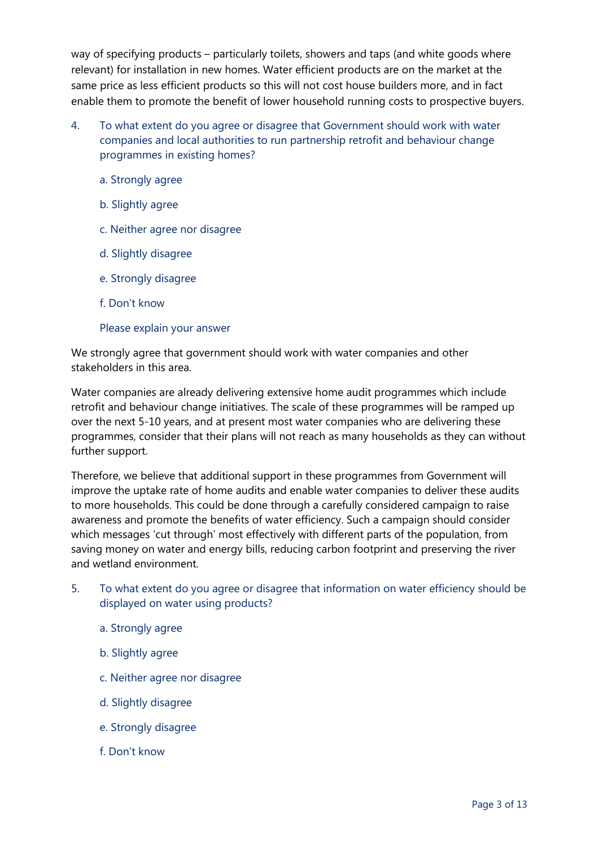way of specifying products – particularly toilets, showers and taps (and white goods where relevant) for installation in new homes. Water efficient products are on the market at the same price as less efficient products so this will not cost house builders more, and in fact enable them to promote the benefit of lower household running costs to prospective buyers.

- 4. To what extent do you agree or disagree that Government should work with water companies and local authorities to run partnership retrofit and behaviour change programmes in existing homes?
	- a. Strongly agree
	- b. Slightly agree
	- c. Neither agree nor disagree
	- d. Slightly disagree
	- e. Strongly disagree
	- f. Don't know

# Please explain your answer

We strongly agree that government should work with water companies and other stakeholders in this area.

Water companies are already delivering extensive home audit programmes which include retrofit and behaviour change initiatives. The scale of these programmes will be ramped up over the next 5-10 years, and at present most water companies who are delivering these programmes, consider that their plans will not reach as many households as they can without further support.

Therefore, we believe that additional support in these programmes from Government will improve the uptake rate of home audits and enable water companies to deliver these audits to more households. This could be done through a carefully considered campaign to raise awareness and promote the benefits of water efficiency. Such a campaign should consider which messages 'cut through' most effectively with different parts of the population, from saving money on water and energy bills, reducing carbon footprint and preserving the river and wetland environment.

- 5. To what extent do you agree or disagree that information on water efficiency should be displayed on water using products?
	- a. Strongly agree
	- b. Slightly agree
	- c. Neither agree nor disagree
	- d. Slightly disagree
	- e. Strongly disagree
	- f. Don't know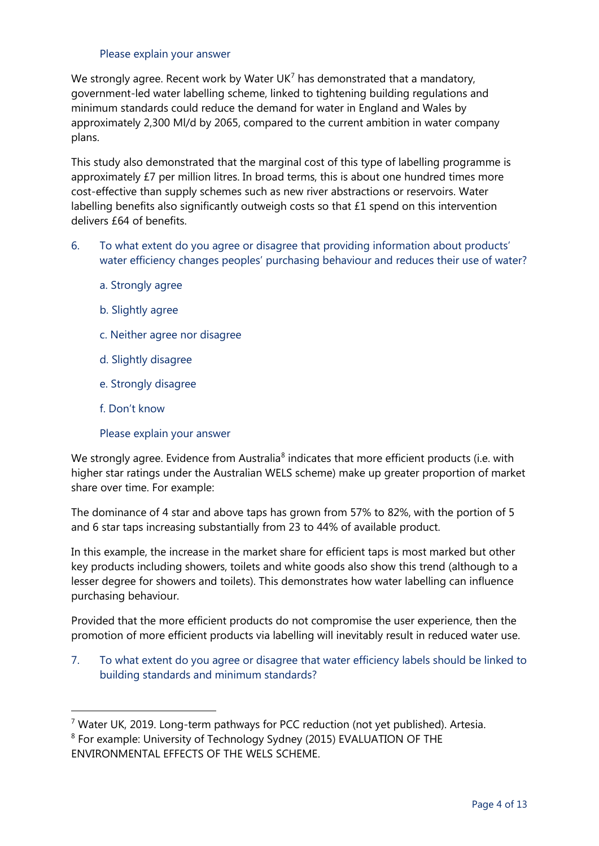#### <span id="page-3-2"></span>Please explain your answer

We strongly agree. Recent work by Water UK<sup>[7](#page-3-0)</sup> has demonstrated that a mandatory, government-led water labelling scheme, linked to tightening building regulations and minimum standards could reduce the demand for water in England and Wales by approximately 2,300 Ml/d by 2065, compared to the current ambition in water company plans.

This study also demonstrated that the marginal cost of this type of labelling programme is approximately £7 per million litres. In broad terms, this is about one hundred times more cost-effective than supply schemes such as new river abstractions or reservoirs. Water labelling benefits also significantly outweigh costs so that £1 spend on this intervention delivers £64 of benefits.

- 6. To what extent do you agree or disagree that providing information about products' water efficiency changes peoples' purchasing behaviour and reduces their use of water?
	- a. Strongly agree
	- b. Slightly agree
	- c. Neither agree nor disagree
	- d. Slightly disagree
	- e. Strongly disagree
	- f. Don't know

# Please explain your answer

We strongly agree. Evidence from Australia<sup>[8](#page-3-1)</sup> indicates that more efficient products (i.e. with higher star ratings under the Australian WELS scheme) make up greater proportion of market share over time. For example:

The dominance of 4 star and above taps has grown from 57% to 82%, with the portion of 5 and 6 star taps increasing substantially from 23 to 44% of available product.

In this example, the increase in the market share for efficient taps is most marked but other key products including showers, toilets and white goods also show this trend (although to a lesser degree for showers and toilets). This demonstrates how water labelling can influence purchasing behaviour.

Provided that the more efficient products do not compromise the user experience, then the promotion of more efficient products via labelling will inevitably result in reduced water use.

7. To what extent do you agree or disagree that water efficiency labels should be linked to building standards and minimum standards?

<span id="page-3-0"></span> $7$  Water UK, 2019. Long-term pathways for PCC reduction (not yet published). Artesia.

<span id="page-3-1"></span><sup>8</sup> For example: University of Technology Sydney (2015) EVALUATION OF THE ENVIRONMENTAL EFFECTS OF THE WELS SCHEME.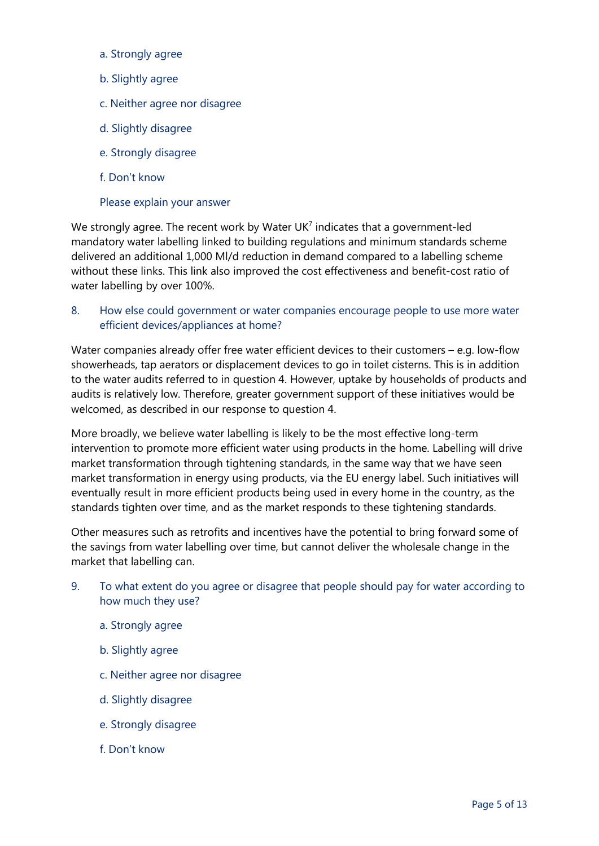- a. Strongly agree
- b. Slightly agree
- c. Neither agree nor disagree
- d. Slightly disagree
- e. Strongly disagree
- f. Don't know

# Please explain your answer

We strongly agree. The recent work by Water  $UK<sup>7</sup>$  indicates that a government-led mandatory water labelling linked to building regulations and minimum standards scheme delivered an additional 1,000 Ml/d reduction in demand compared to a labelling scheme without these links. This link also improved the cost effectiveness and benefit-cost ratio of water labelling by over 100%.

# 8. How else could government or water companies encourage people to use more water efficient devices/appliances at home?

Water companies already offer free water efficient devices to their customers – e.g. low-flow showerheads, tap aerators or displacement devices to go in toilet cisterns. This is in addition to the water audits referred to in question 4. However, uptake by households of products and audits is relatively low. Therefore, greater government support of these initiatives would be welcomed, as described in our response to question 4.

More broadly, we believe water labelling is likely to be the most effective long-term intervention to promote more efficient water using products in the home. Labelling will drive market transformation through tightening standards, in the same way that we have seen market transformation in energy using products, via the EU energy label. Such initiatives will eventually result in more efficient products being used in every home in the country, as the standards tighten over time, and as the market responds to these tightening standards.

Other measures such as retrofits and incentives have the potential to bring forward some of the savings from water labelling over time, but cannot deliver the wholesale change in the market that labelling can.

- 9. To what extent do you agree or disagree that people should pay for water according to how much they use?
	- a. Strongly agree
	- b. Slightly agree
	- c. Neither agree nor disagree
	- d. Slightly disagree
	- e. Strongly disagree
	- f. Don't know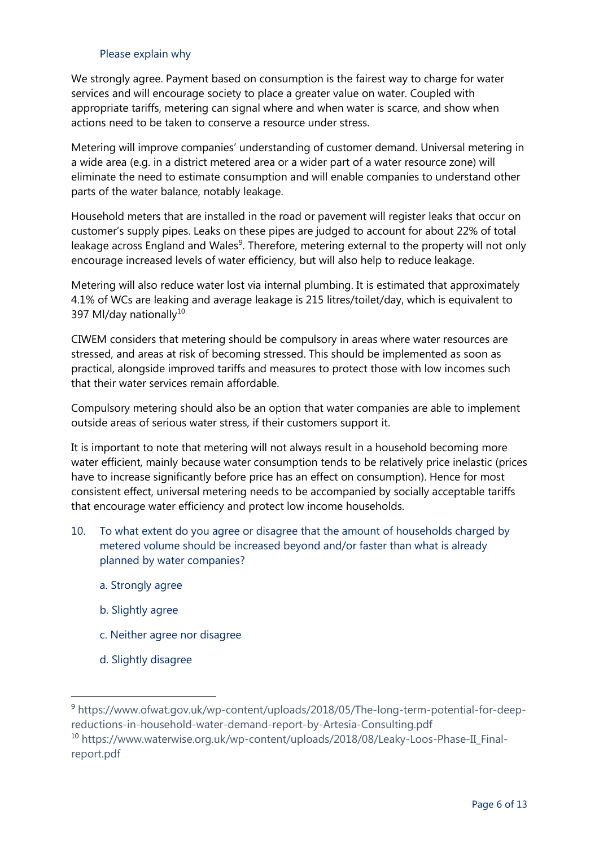### Please explain why

We strongly agree. Payment based on consumption is the fairest way to charge for water services and will encourage society to place a greater value on water. Coupled with appropriate tariffs, metering can signal where and when water is scarce, and show when actions need to be taken to conserve a resource under stress.

Metering will improve companies' understanding of customer demand. Universal metering in a wide area (e.g. in a district metered area or a wider part of a water resource zone) will eliminate the need to estimate consumption and will enable companies to understand other parts of the water balance, notably leakage.

Household meters that are installed in the road or pavement will register leaks that occur on customer's supply pipes. Leaks on these pipes are judged to account for about 22% of total leakage across England and Wales<sup>[9](#page-5-0)</sup>. Therefore, metering external to the property will not only encourage increased levels of water efficiency, but will also help to reduce leakage.

Metering will also reduce water lost via internal plumbing. It is estimated that approximately 4.1% of WCs are leaking and average leakage is 215 litres/toilet/day, which is equivalent to 397 Ml/day nationally<sup>[10](#page-5-1)</sup>

CIWEM considers that metering should be compulsory in areas where water resources are stressed, and areas at risk of becoming stressed. This should be implemented as soon as practical, alongside improved tariffs and measures to protect those with low incomes such that their water services remain affordable.

Compulsory metering should also be an option that water companies are able to implement outside areas of serious water stress, if their customers support it.

It is important to note that metering will not always result in a household becoming more water efficient, mainly because water consumption tends to be relatively price inelastic (prices have to increase significantly before price has an effect on consumption). Hence for most consistent effect, universal metering needs to be accompanied by socially acceptable tariffs that encourage water efficiency and protect low income households.

- 10. To what extent do you agree or disagree that the amount of households charged by metered volume should be increased beyond and/or faster than what is already planned by water companies?
	- a. Strongly agree
	- b. Slightly agree
	- c. Neither agree nor disagree
	- d. Slightly disagree

<span id="page-5-1"></span><span id="page-5-0"></span><sup>9</sup> https://www.ofwat.gov.uk/wp-content/uploads/2018/05/The-long-term-potential-for-deepreductions-in-household-water-demand-report-by-Artesia-Consulting.pdf <sup>10</sup> https://www.waterwise.org.uk/wp-content/uploads/2018/08/Leaky-Loos-Phase-II\_Finalreport.pdf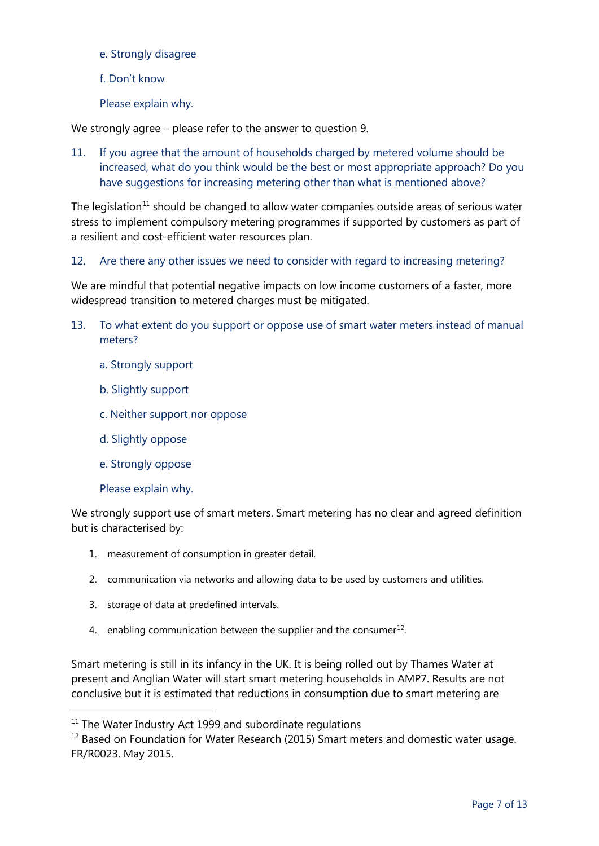- e. Strongly disagree
- f. Don't know
- Please explain why.

We strongly agree – please refer to the answer to question 9.

11. If you agree that the amount of households charged by metered volume should be increased, what do you think would be the best or most appropriate approach? Do you have suggestions for increasing metering other than what is mentioned above?

The legislation<sup>[11](#page-6-0)</sup> should be changed to allow water companies outside areas of serious water stress to implement compulsory metering programmes if supported by customers as part of a resilient and cost-efficient water resources plan.

12. Are there any other issues we need to consider with regard to increasing metering?

We are mindful that potential negative impacts on low income customers of a faster, more widespread transition to metered charges must be mitigated.

- 13. To what extent do you support or oppose use of smart water meters instead of manual meters?
	- a. Strongly support
	- b. Slightly support
	- c. Neither support nor oppose
	- d. Slightly oppose
	- e. Strongly oppose

Please explain why.

We strongly support use of smart meters. Smart metering has no clear and agreed definition but is characterised by:

- 1. measurement of consumption in greater detail.
- 2. communication via networks and allowing data to be used by customers and utilities.
- 3. storage of data at predefined intervals.
- 4. enabling communication between the supplier and the consumer<sup>12</sup>.

Smart metering is still in its infancy in the UK. It is being rolled out by Thames Water at present and Anglian Water will start smart metering households in AMP7. Results are not conclusive but it is estimated that reductions in consumption due to smart metering are

<span id="page-6-0"></span> $11$  The Water Industry Act 1999 and subordinate regulations

<span id="page-6-1"></span> $12$  Based on Foundation for Water Research (2015) Smart meters and domestic water usage. FR/R0023. May 2015.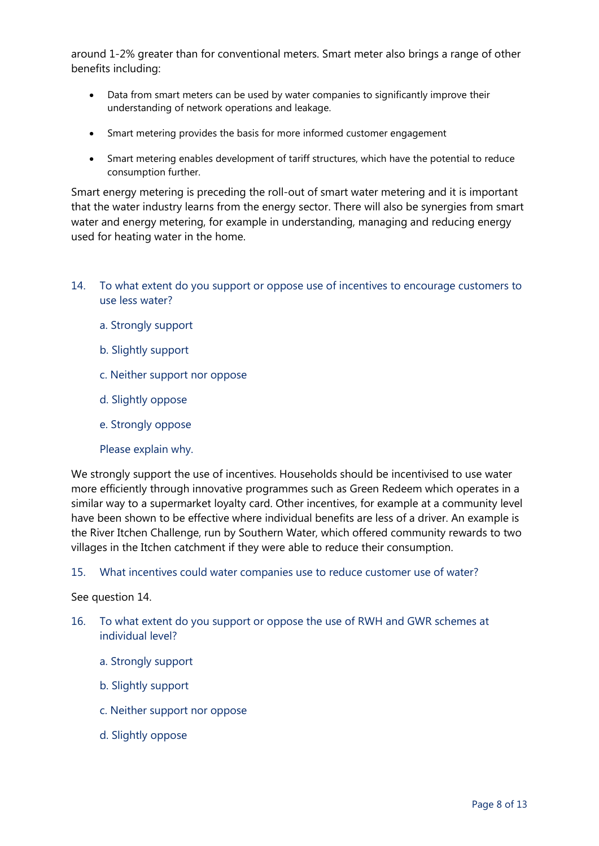around 1-2% greater than for conventional meters. Smart meter also brings a range of other benefits including:

- Data from smart meters can be used by water companies to significantly improve their understanding of network operations and leakage.
- Smart metering provides the basis for more informed customer engagement
- Smart metering enables development of tariff structures, which have the potential to reduce consumption further.

Smart energy metering is preceding the roll-out of smart water metering and it is important that the water industry learns from the energy sector. There will also be synergies from smart water and energy metering, for example in understanding, managing and reducing energy used for heating water in the home.

- 14. To what extent do you support or oppose use of incentives to encourage customers to use less water?
	- a. Strongly support
	- b. Slightly support
	- c. Neither support nor oppose
	- d. Slightly oppose
	- e. Strongly oppose
	- Please explain why.

We strongly support the use of incentives. Households should be incentivised to use water more efficiently through innovative programmes such as Green Redeem which operates in a similar way to a supermarket loyalty card. Other incentives, for example at a community level have been shown to be effective where individual benefits are less of a driver. An example is the River Itchen Challenge, run by Southern Water, which offered community rewards to two villages in the Itchen catchment if they were able to reduce their consumption.

#### 15. What incentives could water companies use to reduce customer use of water?

#### See question 14.

- 16. To what extent do you support or oppose the use of RWH and GWR schemes at individual level?
	- a. Strongly support
	- b. Slightly support
	- c. Neither support nor oppose
	- d. Slightly oppose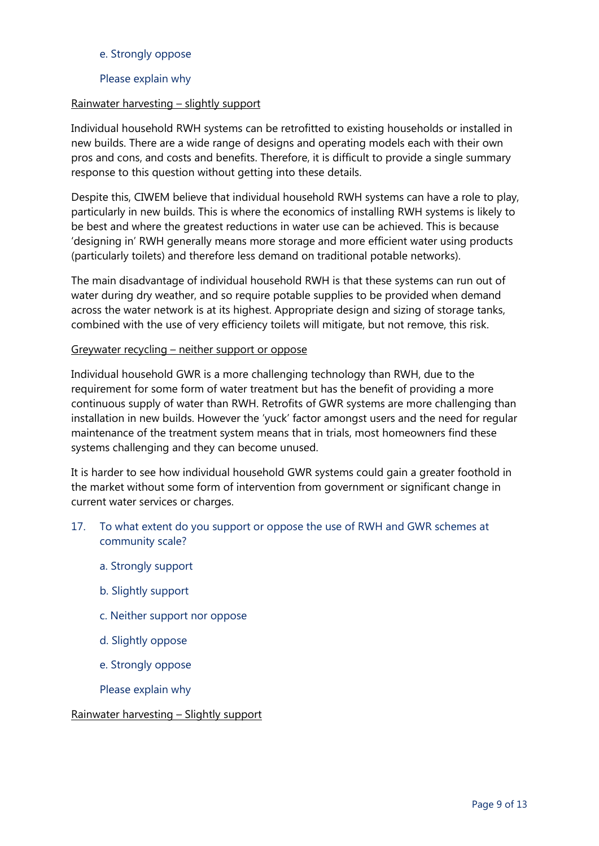# e. Strongly oppose

# Please explain why

# Rainwater harvesting – slightly support

Individual household RWH systems can be retrofitted to existing households or installed in new builds. There are a wide range of designs and operating models each with their own pros and cons, and costs and benefits. Therefore, it is difficult to provide a single summary response to this question without getting into these details.

Despite this, CIWEM believe that individual household RWH systems can have a role to play, particularly in new builds. This is where the economics of installing RWH systems is likely to be best and where the greatest reductions in water use can be achieved. This is because 'designing in' RWH generally means more storage and more efficient water using products (particularly toilets) and therefore less demand on traditional potable networks).

The main disadvantage of individual household RWH is that these systems can run out of water during dry weather, and so require potable supplies to be provided when demand across the water network is at its highest. Appropriate design and sizing of storage tanks, combined with the use of very efficiency toilets will mitigate, but not remove, this risk.

# Greywater recycling – neither support or oppose

Individual household GWR is a more challenging technology than RWH, due to the requirement for some form of water treatment but has the benefit of providing a more continuous supply of water than RWH. Retrofits of GWR systems are more challenging than installation in new builds. However the 'yuck' factor amongst users and the need for regular maintenance of the treatment system means that in trials, most homeowners find these systems challenging and they can become unused.

It is harder to see how individual household GWR systems could gain a greater foothold in the market without some form of intervention from government or significant change in current water services or charges.

- 17. To what extent do you support or oppose the use of RWH and GWR schemes at community scale?
	- a. Strongly support
	- b. Slightly support
	- c. Neither support nor oppose
	- d. Slightly oppose
	- e. Strongly oppose
	- Please explain why

# Rainwater harvesting – Slightly support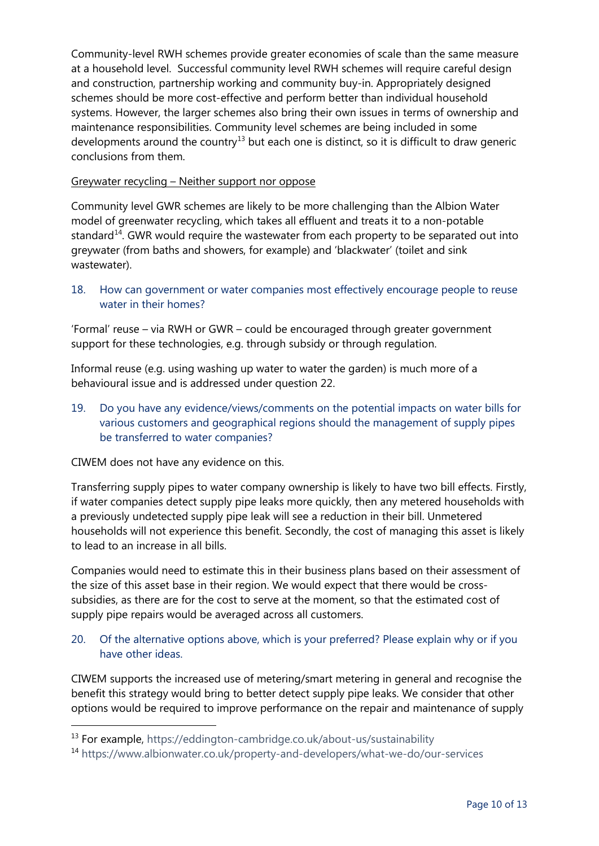Community-level RWH schemes provide greater economies of scale than the same measure at a household level. Successful community level RWH schemes will require careful design and construction, partnership working and community buy-in. Appropriately designed schemes should be more cost-effective and perform better than individual household systems. However, the larger schemes also bring their own issues in terms of ownership and maintenance responsibilities. Community level schemes are being included in some developments around the country<sup>[13](#page-9-0)</sup> but each one is distinct, so it is difficult to draw generic conclusions from them.

# Greywater recycling – Neither support nor oppose

Community level GWR schemes are likely to be more challenging than the Albion Water model of greenwater recycling, which takes all effluent and treats it to a non-potable standard<sup>[14](#page-9-1)</sup>. GWR would require the wastewater from each property to be separated out into greywater (from baths and showers, for example) and 'blackwater' (toilet and sink wastewater).

18. How can government or water companies most effectively encourage people to reuse water in their homes?

'Formal' reuse – via RWH or GWR – could be encouraged through greater government support for these technologies, e.g. through subsidy or through regulation.

Informal reuse (e.g. using washing up water to water the garden) is much more of a behavioural issue and is addressed under question 22.

19. Do you have any evidence/views/comments on the potential impacts on water bills for various customers and geographical regions should the management of supply pipes be transferred to water companies?

CIWEM does not have any evidence on this.

Transferring supply pipes to water company ownership is likely to have two bill effects. Firstly, if water companies detect supply pipe leaks more quickly, then any metered households with a previously undetected supply pipe leak will see a reduction in their bill. Unmetered households will not experience this benefit. Secondly, the cost of managing this asset is likely to lead to an increase in all bills.

Companies would need to estimate this in their business plans based on their assessment of the size of this asset base in their region. We would expect that there would be crosssubsidies, as there are for the cost to serve at the moment, so that the estimated cost of supply pipe repairs would be averaged across all customers.

# 20. Of the alternative options above, which is your preferred? Please explain why or if you have other ideas.

CIWEM supports the increased use of metering/smart metering in general and recognise the benefit this strategy would bring to better detect supply pipe leaks. We consider that other options would be required to improve performance on the repair and maintenance of supply

<span id="page-9-0"></span><sup>&</sup>lt;sup>13</sup> For example,<https://eddington-cambridge.co.uk/about-us/sustainability>

<span id="page-9-1"></span><sup>14</sup> https://www.albionwater.co.uk/property-and-developers/what-we-do/our-services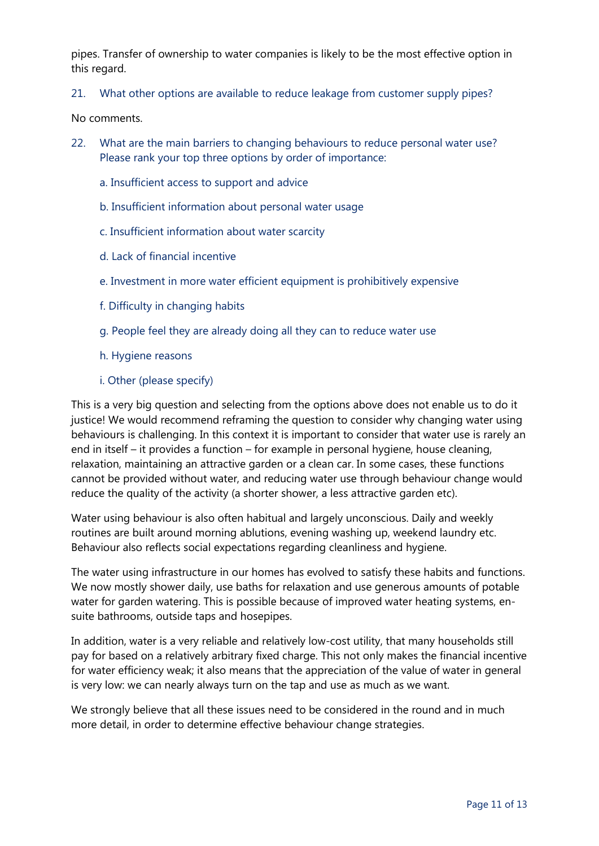pipes. Transfer of ownership to water companies is likely to be the most effective option in this regard.

21. What other options are available to reduce leakage from customer supply pipes?

No comments.

- 22. What are the main barriers to changing behaviours to reduce personal water use? Please rank your top three options by order of importance:
	- a. Insufficient access to support and advice
	- b. Insufficient information about personal water usage
	- c. Insufficient information about water scarcity
	- d. Lack of financial incentive
	- e. Investment in more water efficient equipment is prohibitively expensive
	- f. Difficulty in changing habits
	- g. People feel they are already doing all they can to reduce water use
	- h. Hygiene reasons
	- i. Other (please specify)

This is a very big question and selecting from the options above does not enable us to do it justice! We would recommend reframing the question to consider why changing water using behaviours is challenging. In this context it is important to consider that water use is rarely an end in itself – it provides a function – for example in personal hygiene, house cleaning, relaxation, maintaining an attractive garden or a clean car. In some cases, these functions cannot be provided without water, and reducing water use through behaviour change would reduce the quality of the activity (a shorter shower, a less attractive garden etc).

Water using behaviour is also often habitual and largely unconscious. Daily and weekly routines are built around morning ablutions, evening washing up, weekend laundry etc. Behaviour also reflects social expectations regarding cleanliness and hygiene.

The water using infrastructure in our homes has evolved to satisfy these habits and functions. We now mostly shower daily, use baths for relaxation and use generous amounts of potable water for garden watering. This is possible because of improved water heating systems, ensuite bathrooms, outside taps and hosepipes.

In addition, water is a very reliable and relatively low-cost utility, that many households still pay for based on a relatively arbitrary fixed charge. This not only makes the financial incentive for water efficiency weak; it also means that the appreciation of the value of water in general is very low: we can nearly always turn on the tap and use as much as we want.

We strongly believe that all these issues need to be considered in the round and in much more detail, in order to determine effective behaviour change strategies.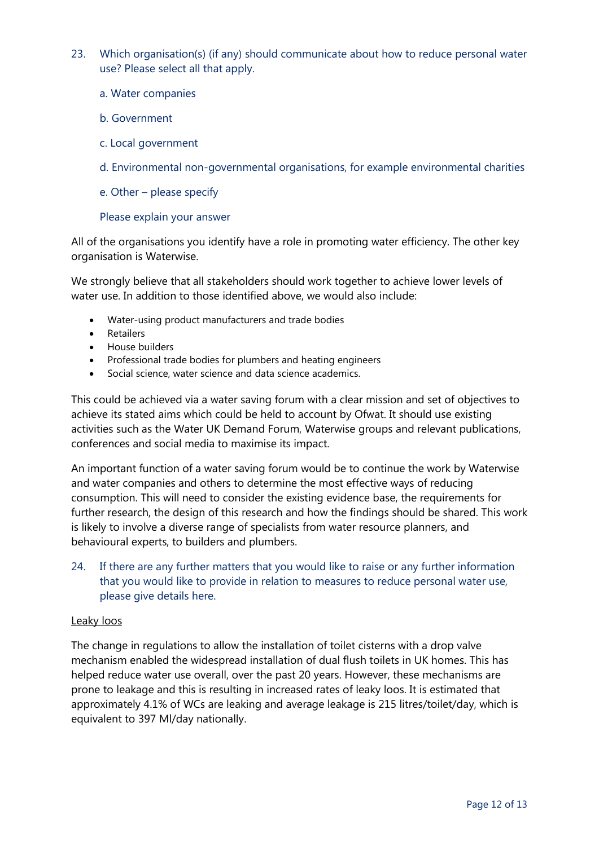- 23. Which organisation(s) (if any) should communicate about how to reduce personal water use? Please select all that apply.
	- a. Water companies
	- b. Government
	- c. Local government
	- d. Environmental non-governmental organisations, for example environmental charities
	- e. Other please specify

#### Please explain your answer

All of the organisations you identify have a role in promoting water efficiency. The other key organisation is Waterwise.

We strongly believe that all stakeholders should work together to achieve lower levels of water use. In addition to those identified above, we would also include:

- Water-using product manufacturers and trade bodies
- Retailers
- House builders
- Professional trade bodies for plumbers and heating engineers
- Social science, water science and data science academics.

This could be achieved via a water saving forum with a clear mission and set of objectives to achieve its stated aims which could be held to account by Ofwat. It should use existing activities such as the Water UK Demand Forum, Waterwise groups and relevant publications, conferences and social media to maximise its impact.

An important function of a water saving forum would be to continue the work by Waterwise and water companies and others to determine the most effective ways of reducing consumption. This will need to consider the existing evidence base, the requirements for further research, the design of this research and how the findings should be shared. This work is likely to involve a diverse range of specialists from water resource planners, and behavioural experts, to builders and plumbers.

24. If there are any further matters that you would like to raise or any further information that you would like to provide in relation to measures to reduce personal water use, please give details here.

#### Leaky loos

The change in regulations to allow the installation of toilet cisterns with a drop valve mechanism enabled the widespread installation of dual flush toilets in UK homes. This has helped reduce water use overall, over the past 20 years. However, these mechanisms are prone to leakage and this is resulting in increased rates of leaky loos. It is estimated that approximately 4.1% of WCs are leaking and average leakage is 215 litres/toilet/day, which is equivalent to 397 Ml/day nationally.